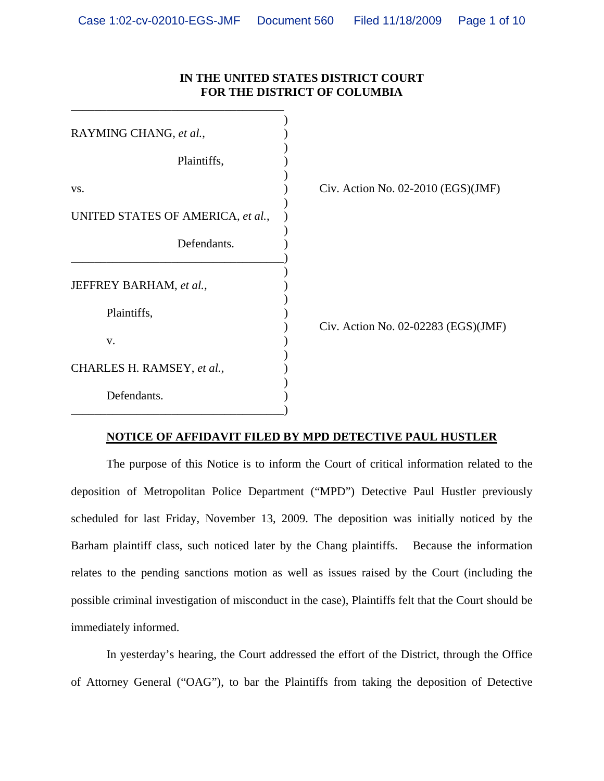## **IN THE UNITED STATES DISTRICT COURT FOR THE DISTRICT OF COLUMBIA**

| RAYMING CHANG, et al.,            |                                      |
|-----------------------------------|--------------------------------------|
| Plaintiffs,                       |                                      |
| VS.                               | Civ. Action No. $02-2010$ (EGS)(JMF) |
| UNITED STATES OF AMERICA, et al., |                                      |
| Defendants.                       |                                      |
| JEFFREY BARHAM, et al.,           |                                      |
| Plaintiffs,                       |                                      |
| V.                                | Civ. Action No. 02-02283 (EGS)(JMF)  |
| CHARLES H. RAMSEY, et al.,        |                                      |
| Defendants.                       |                                      |

## **NOTICE OF AFFIDAVIT FILED BY MPD DETECTIVE PAUL HUSTLER**

 The purpose of this Notice is to inform the Court of critical information related to the deposition of Metropolitan Police Department ("MPD") Detective Paul Hustler previously scheduled for last Friday, November 13, 2009. The deposition was initially noticed by the Barham plaintiff class, such noticed later by the Chang plaintiffs. Because the information relates to the pending sanctions motion as well as issues raised by the Court (including the possible criminal investigation of misconduct in the case), Plaintiffs felt that the Court should be immediately informed.

 In yesterday's hearing, the Court addressed the effort of the District, through the Office of Attorney General ("OAG"), to bar the Plaintiffs from taking the deposition of Detective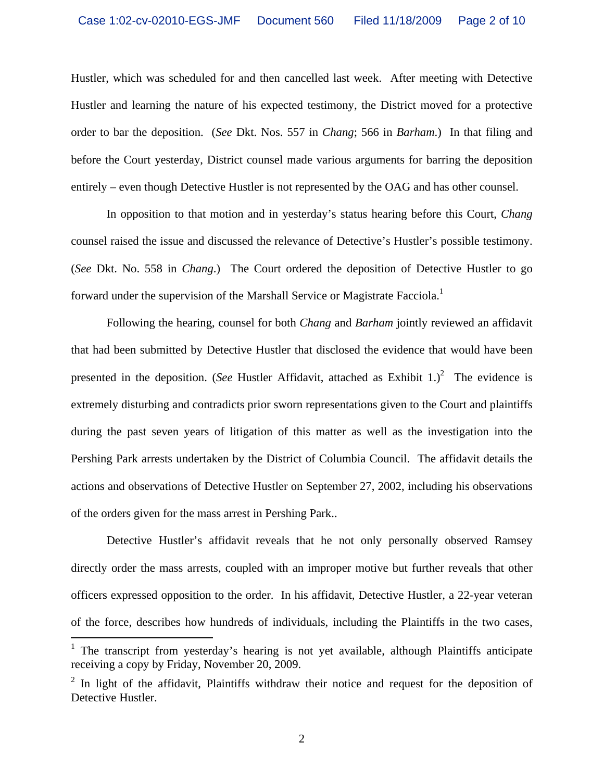Hustler, which was scheduled for and then cancelled last week. After meeting with Detective Hustler and learning the nature of his expected testimony, the District moved for a protective order to bar the deposition. (*See* Dkt. Nos. 557 in *Chang*; 566 in *Barham*.) In that filing and before the Court yesterday, District counsel made various arguments for barring the deposition entirely – even though Detective Hustler is not represented by the OAG and has other counsel.

In opposition to that motion and in yesterday's status hearing before this Court, *Chang* counsel raised the issue and discussed the relevance of Detective's Hustler's possible testimony. (*See* Dkt. No. 558 in *Chang*.) The Court ordered the deposition of Detective Hustler to go forward under the supervision of the Marshall Service or Magistrate Facciola.<sup>1</sup>

Following the hearing, counsel for both *Chang* and *Barham* jointly reviewed an affidavit that had been submitted by Detective Hustler that disclosed the evidence that would have been presented in the deposition. (*See* Hustler Affidavit, attached as Exhibit  $1$ .)<sup>2</sup> The evidence is extremely disturbing and contradicts prior sworn representations given to the Court and plaintiffs during the past seven years of litigation of this matter as well as the investigation into the Pershing Park arrests undertaken by the District of Columbia Council. The affidavit details the actions and observations of Detective Hustler on September 27, 2002, including his observations of the orders given for the mass arrest in Pershing Park..

Detective Hustler's affidavit reveals that he not only personally observed Ramsey directly order the mass arrests, coupled with an improper motive but further reveals that other officers expressed opposition to the order. In his affidavit, Detective Hustler, a 22-year veteran of the force, describes how hundreds of individuals, including the Plaintiffs in the two cases,

 $\overline{a}$ 

<sup>&</sup>lt;sup>1</sup> The transcript from yesterday's hearing is not yet available, although Plaintiffs anticipate receiving a copy by Friday, November 20, 2009.

 $2$  In light of the affidavit, Plaintiffs withdraw their notice and request for the deposition of Detective Hustler.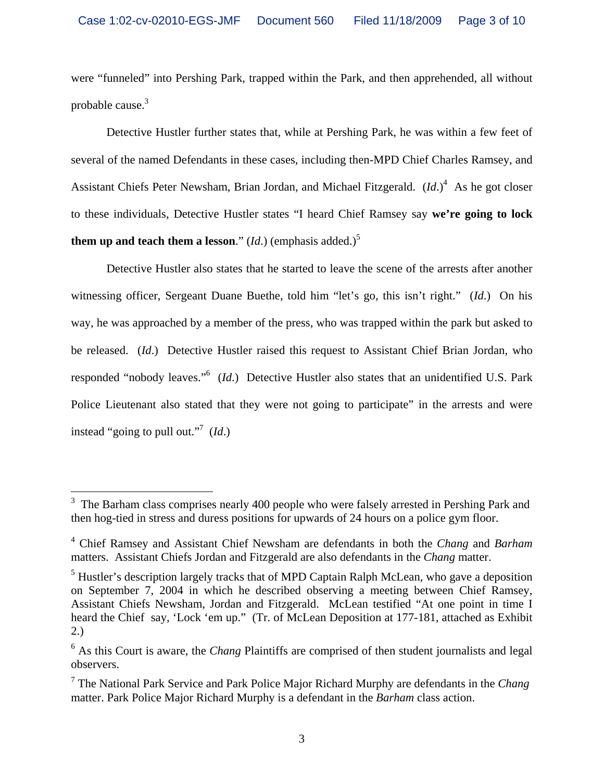were "funneled" into Pershing Park, trapped within the Park, and then apprehended, all without probable cause.<sup>3</sup>

 Detective Hustler further states that, while at Pershing Park, he was within a few feet of several of the named Defendants in these cases, including then-MPD Chief Charles Ramsey, and Assistant Chiefs Peter Newsham, Brian Jordan, and Michael Fitzgerald. (*Id*.)<sup>4</sup> As he got closer to these individuals, Detective Hustler states "I heard Chief Ramsey say **we're going to lock them up and teach them a lesson.**"  $(Id.)$  (emphasis added.)<sup>5</sup>

 Detective Hustler also states that he started to leave the scene of the arrests after another witnessing officer, Sergeant Duane Buethe, told him "let's go, this isn't right." (*Id*.) On his way, he was approached by a member of the press, who was trapped within the park but asked to be released. (*Id*.) Detective Hustler raised this request to Assistant Chief Brian Jordan, who responded "nobody leaves."<sup>6</sup> (*Id*.) Detective Hustler also states that an unidentified U.S. Park Police Lieutenant also stated that they were not going to participate" in the arrests and were instead "going to pull out."7 (*Id*.)

<sup>&</sup>lt;sup>3</sup> The Barham class comprises nearly 400 people who were falsely arrested in Pershing Park and then hog-tied in stress and duress positions for upwards of 24 hours on a police gym floor.

<sup>4</sup> Chief Ramsey and Assistant Chief Newsham are defendants in both the *Chang* and *Barham* matters. Assistant Chiefs Jordan and Fitzgerald are also defendants in the *Chang* matter.

<sup>&</sup>lt;sup>5</sup> Hustler's description largely tracks that of MPD Captain Ralph McLean, who gave a deposition on September 7, 2004 in which he described observing a meeting between Chief Ramsey, Assistant Chiefs Newsham, Jordan and Fitzgerald. McLean testified "At one point in time I heard the Chief say, 'Lock 'em up." (Tr. of McLean Deposition at 177-181, attached as Exhibit 2.)

<sup>&</sup>lt;sup>6</sup> As this Court is aware, the *Chang* Plaintiffs are comprised of then student journalists and legal observers.

<sup>7</sup> The National Park Service and Park Police Major Richard Murphy are defendants in the *Chang* matter. Park Police Major Richard Murphy is a defendant in the *Barham* class action.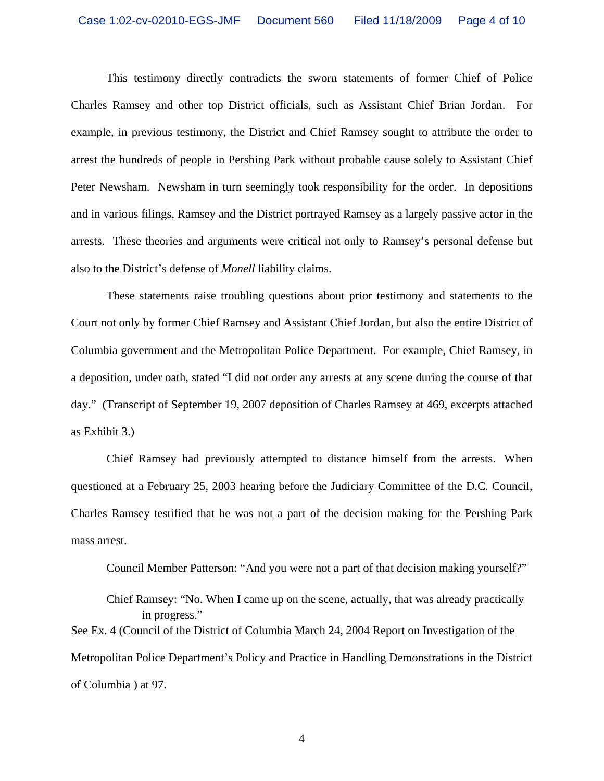This testimony directly contradicts the sworn statements of former Chief of Police Charles Ramsey and other top District officials, such as Assistant Chief Brian Jordan. For example, in previous testimony, the District and Chief Ramsey sought to attribute the order to arrest the hundreds of people in Pershing Park without probable cause solely to Assistant Chief Peter Newsham. Newsham in turn seemingly took responsibility for the order. In depositions and in various filings, Ramsey and the District portrayed Ramsey as a largely passive actor in the arrests. These theories and arguments were critical not only to Ramsey's personal defense but also to the District's defense of *Monell* liability claims.

 These statements raise troubling questions about prior testimony and statements to the Court not only by former Chief Ramsey and Assistant Chief Jordan, but also the entire District of Columbia government and the Metropolitan Police Department. For example, Chief Ramsey, in a deposition, under oath, stated "I did not order any arrests at any scene during the course of that day." (Transcript of September 19, 2007 deposition of Charles Ramsey at 469, excerpts attached as Exhibit 3.)

 Chief Ramsey had previously attempted to distance himself from the arrests. When questioned at a February 25, 2003 hearing before the Judiciary Committee of the D.C. Council, Charles Ramsey testified that he was not a part of the decision making for the Pershing Park mass arrest.

Council Member Patterson: "And you were not a part of that decision making yourself?"

Chief Ramsey: "No. When I came up on the scene, actually, that was already practically in progress." See Ex. 4 (Council of the District of Columbia March 24, 2004 Report on Investigation of the Metropolitan Police Department's Policy and Practice in Handling Demonstrations in the District of Columbia ) at 97.

4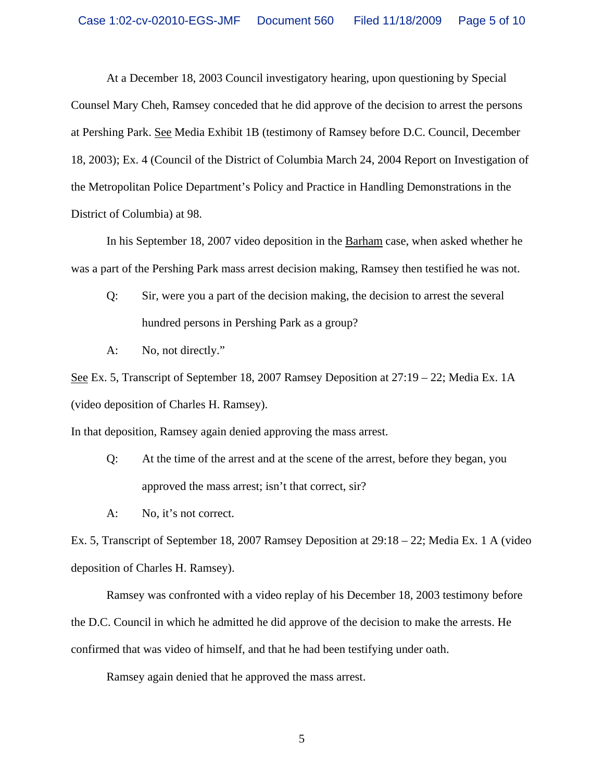At a December 18, 2003 Council investigatory hearing, upon questioning by Special Counsel Mary Cheh, Ramsey conceded that he did approve of the decision to arrest the persons at Pershing Park. See Media Exhibit 1B (testimony of Ramsey before D.C. Council, December 18, 2003); Ex. 4 (Council of the District of Columbia March 24, 2004 Report on Investigation of the Metropolitan Police Department's Policy and Practice in Handling Demonstrations in the District of Columbia) at 98.

In his September 18, 2007 video deposition in the Barham case, when asked whether he was a part of the Pershing Park mass arrest decision making, Ramsey then testified he was not.

- Q: Sir, were you a part of the decision making, the decision to arrest the several hundred persons in Pershing Park as a group?
- A: No, not directly."

See Ex. 5, Transcript of September 18, 2007 Ramsey Deposition at 27:19 – 22; Media Ex. 1A (video deposition of Charles H. Ramsey).

In that deposition, Ramsey again denied approving the mass arrest.

- Q: At the time of the arrest and at the scene of the arrest, before they began, you approved the mass arrest; isn't that correct, sir?
- A: No, it's not correct.

Ex. 5, Transcript of September 18, 2007 Ramsey Deposition at 29:18 – 22; Media Ex. 1 A (video deposition of Charles H. Ramsey).

Ramsey was confronted with a video replay of his December 18, 2003 testimony before the D.C. Council in which he admitted he did approve of the decision to make the arrests. He confirmed that was video of himself, and that he had been testifying under oath.

Ramsey again denied that he approved the mass arrest.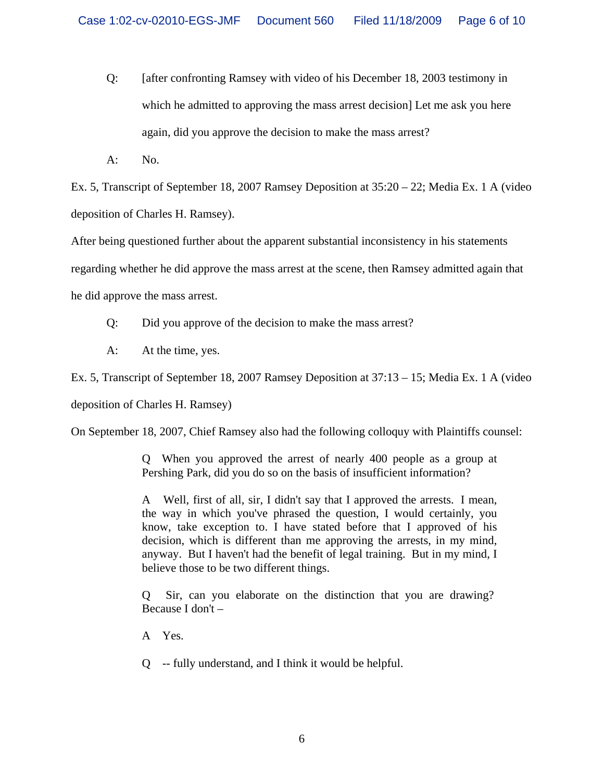- Q: [after confronting Ramsey with video of his December 18, 2003 testimony in which he admitted to approving the mass arrest decision] Let me ask you here again, did you approve the decision to make the mass arrest?
- A: No.

Ex. 5, Transcript of September 18, 2007 Ramsey Deposition at 35:20 – 22; Media Ex. 1 A (video deposition of Charles H. Ramsey).

After being questioned further about the apparent substantial inconsistency in his statements

regarding whether he did approve the mass arrest at the scene, then Ramsey admitted again that

he did approve the mass arrest.

- Q: Did you approve of the decision to make the mass arrest?
- A: At the time, yes.

Ex. 5, Transcript of September 18, 2007 Ramsey Deposition at 37:13 – 15; Media Ex. 1 A (video

deposition of Charles H. Ramsey)

On September 18, 2007, Chief Ramsey also had the following colloquy with Plaintiffs counsel:

Q When you approved the arrest of nearly 400 people as a group at Pershing Park, did you do so on the basis of insufficient information?

A Well, first of all, sir, I didn't say that I approved the arrests. I mean, the way in which you've phrased the question, I would certainly, you know, take exception to. I have stated before that I approved of his decision, which is different than me approving the arrests, in my mind, anyway. But I haven't had the benefit of legal training. But in my mind, I believe those to be two different things.

Q Sir, can you elaborate on the distinction that you are drawing? Because I don't –

- A Yes.
- Q -- fully understand, and I think it would be helpful.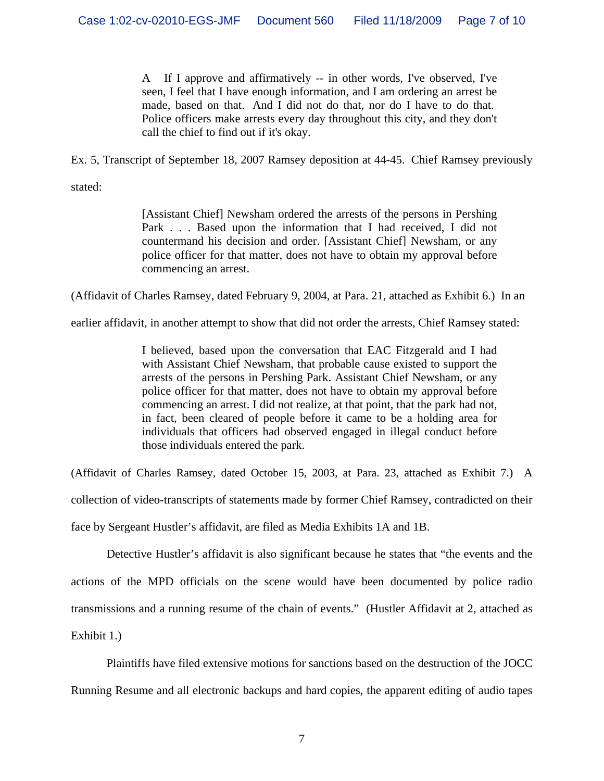A If I approve and affirmatively -- in other words, I've observed, I've seen, I feel that I have enough information, and I am ordering an arrest be made, based on that. And I did not do that, nor do I have to do that. Police officers make arrests every day throughout this city, and they don't call the chief to find out if it's okay.

Ex. 5, Transcript of September 18, 2007 Ramsey deposition at 44-45. Chief Ramsey previously

stated:

[Assistant Chief] Newsham ordered the arrests of the persons in Pershing Park . . . Based upon the information that I had received, I did not countermand his decision and order. [Assistant Chief] Newsham, or any police officer for that matter, does not have to obtain my approval before commencing an arrest.

(Affidavit of Charles Ramsey, dated February 9, 2004, at Para. 21, attached as Exhibit 6.) In an

earlier affidavit, in another attempt to show that did not order the arrests, Chief Ramsey stated:

I believed, based upon the conversation that EAC Fitzgerald and I had with Assistant Chief Newsham, that probable cause existed to support the arrests of the persons in Pershing Park. Assistant Chief Newsham, or any police officer for that matter, does not have to obtain my approval before commencing an arrest. I did not realize, at that point, that the park had not, in fact, been cleared of people before it came to be a holding area for individuals that officers had observed engaged in illegal conduct before those individuals entered the park.

(Affidavit of Charles Ramsey, dated October 15, 2003, at Para. 23, attached as Exhibit 7.) A

collection of video-transcripts of statements made by former Chief Ramsey, contradicted on their

face by Sergeant Hustler's affidavit, are filed as Media Exhibits 1A and 1B.

 Detective Hustler's affidavit is also significant because he states that "the events and the actions of the MPD officials on the scene would have been documented by police radio transmissions and a running resume of the chain of events." (Hustler Affidavit at 2, attached as Exhibit 1.)

Plaintiffs have filed extensive motions for sanctions based on the destruction of the JOCC Running Resume and all electronic backups and hard copies, the apparent editing of audio tapes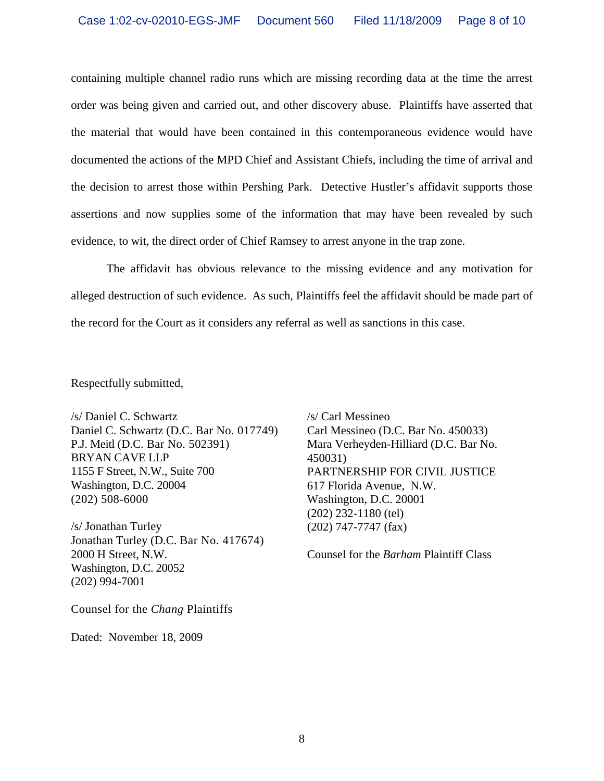containing multiple channel radio runs which are missing recording data at the time the arrest order was being given and carried out, and other discovery abuse. Plaintiffs have asserted that the material that would have been contained in this contemporaneous evidence would have documented the actions of the MPD Chief and Assistant Chiefs, including the time of arrival and the decision to arrest those within Pershing Park. Detective Hustler's affidavit supports those assertions and now supplies some of the information that may have been revealed by such evidence, to wit, the direct order of Chief Ramsey to arrest anyone in the trap zone.

The affidavit has obvious relevance to the missing evidence and any motivation for alleged destruction of such evidence. As such, Plaintiffs feel the affidavit should be made part of the record for the Court as it considers any referral as well as sanctions in this case.

Respectfully submitted,

/s/ Daniel C. Schwartz Daniel C. Schwartz (D.C. Bar No. 017749) P.J. Meitl (D.C. Bar No. 502391) BRYAN CAVE LLP 1155 F Street, N.W., Suite 700 Washington, D.C. 20004 (202) 508-6000

/s/ Jonathan Turley Jonathan Turley (D.C. Bar No. 417674) 2000 H Street, N.W. Washington, D.C. 20052 (202) 994-7001

/s/ Carl Messineo Carl Messineo (D.C. Bar No. 450033) Mara Verheyden-Hilliard (D.C. Bar No. 450031) PARTNERSHIP FOR CIVIL JUSTICE 617 Florida Avenue, N.W. Washington, D.C. 20001 (202) 232-1180 (tel) (202) 747-7747 (fax)

Counsel for the *Barham* Plaintiff Class

Counsel for the *Chang* Plaintiffs

Dated: November 18, 2009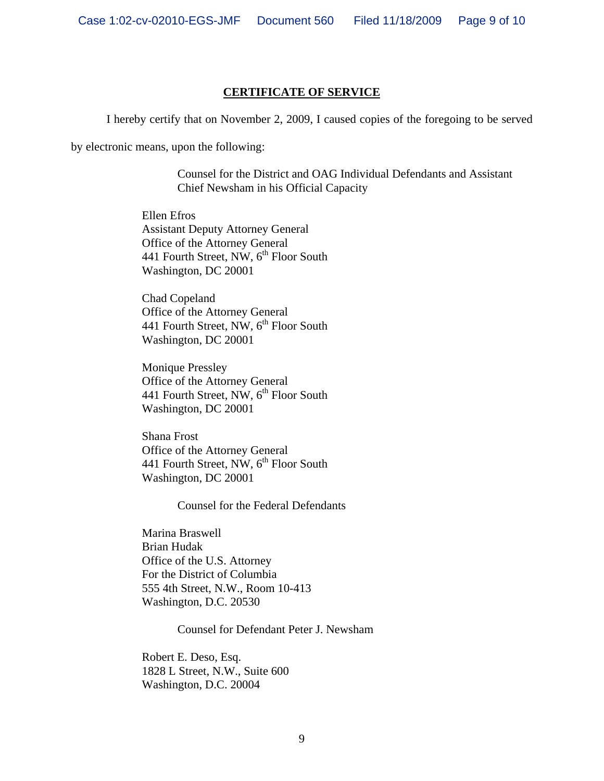## **CERTIFICATE OF SERVICE**

I hereby certify that on November 2, 2009, I caused copies of the foregoing to be served

by electronic means, upon the following:

Counsel for the District and OAG Individual Defendants and Assistant Chief Newsham in his Official Capacity

 Ellen Efros Assistant Deputy Attorney General Office of the Attorney General 441 Fourth Street, NW,  $6<sup>th</sup>$  Floor South Washington, DC 20001

 Chad Copeland Office of the Attorney General 441 Fourth Street, NW,  $6^{th}$  Floor South Washington, DC 20001

 Monique Pressley Office of the Attorney General 441 Fourth Street, NW, 6<sup>th</sup> Floor South Washington, DC 20001

 Shana Frost Office of the Attorney General 441 Fourth Street, NW, 6<sup>th</sup> Floor South Washington, DC 20001

Counsel for the Federal Defendants

 Marina Braswell Brian Hudak Office of the U.S. Attorney For the District of Columbia 555 4th Street, N.W., Room 10-413 Washington, D.C. 20530

Counsel for Defendant Peter J. Newsham

 Robert E. Deso, Esq. 1828 L Street, N.W., Suite 600 Washington, D.C. 20004